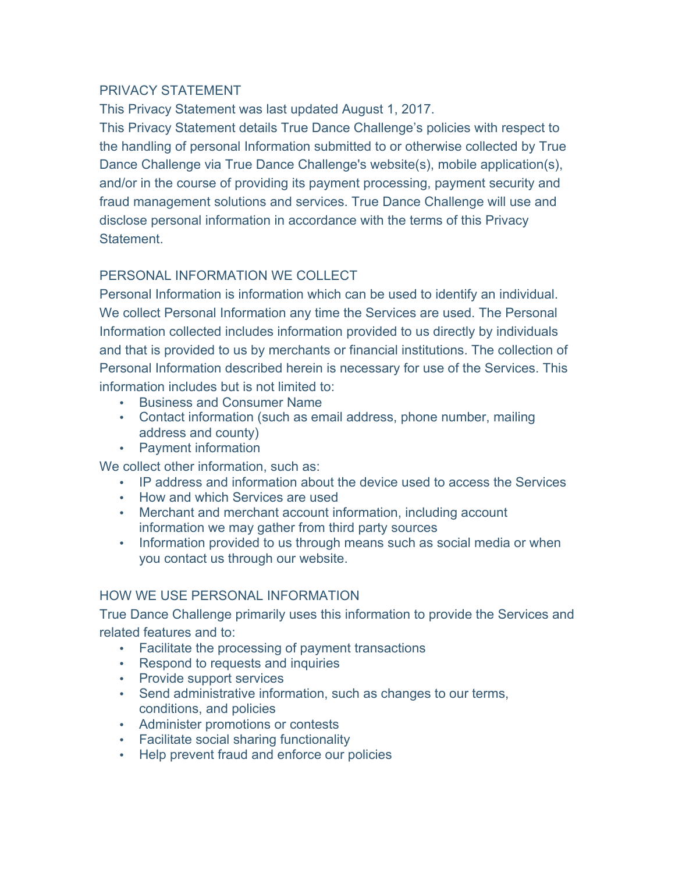### PRIVACY STATEMENT

This Privacy Statement was last updated August 1, 2017.

This Privacy Statement details True Dance Challenge's policies with respect to the handling of personal Information submitted to or otherwise collected by True Dance Challenge via True Dance Challenge's website(s), mobile application(s), and/or in the course of providing its payment processing, payment security and fraud management solutions and services. True Dance Challenge will use and disclose personal information in accordance with the terms of this Privacy **Statement** 

## PERSONAL INFORMATION WE COLLECT

Personal Information is information which can be used to identify an individual. We collect Personal Information any time the Services are used. The Personal Information collected includes information provided to us directly by individuals and that is provided to us by merchants or financial institutions. The collection of Personal Information described herein is necessary for use of the Services. This information includes but is not limited to:

- Business and Consumer Name
- Contact information (such as email address, phone number, mailing address and county)
- Payment information

We collect other information, such as:

- IP address and information about the device used to access the Services
- How and which Services are used
- Merchant and merchant account information, including account information we may gather from third party sources
- Information provided to us through means such as social media or when you contact us through our website.

## HOW WE USE PERSONAL INFORMATION

True Dance Challenge primarily uses this information to provide the Services and related features and to:

- Facilitate the processing of payment transactions
- Respond to requests and inquiries
- Provide support services
- Send administrative information, such as changes to our terms, conditions, and policies
- Administer promotions or contests
- Facilitate social sharing functionality
- Help prevent fraud and enforce our policies